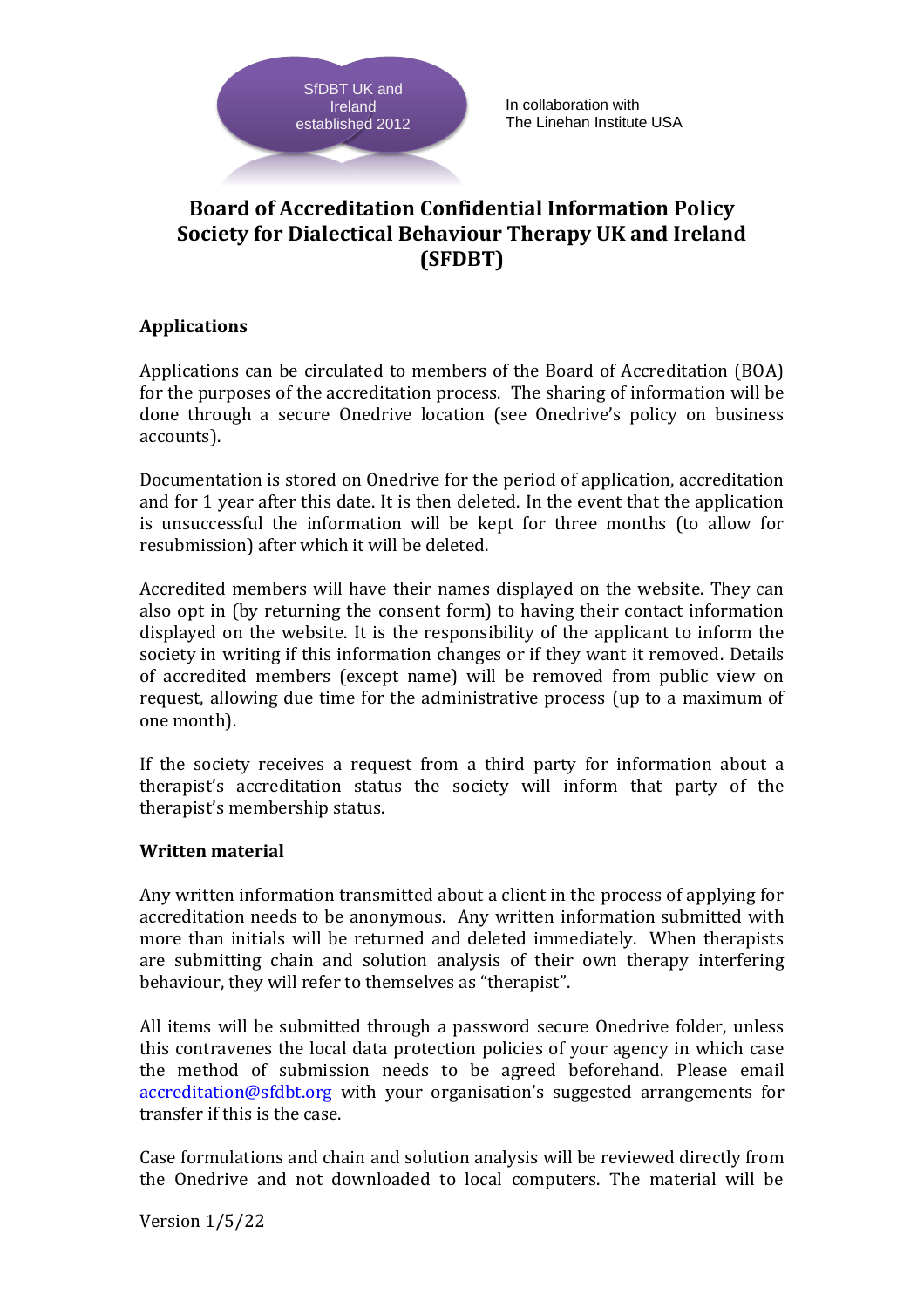

# **Board of Accreditation Confidential Information Policy Society for Dialectical Behaviour Therapy UK and Ireland (SFDBT)**

## **Applications**

Applications can be circulated to members of the Board of Accreditation (BOA) for the purposes of the accreditation process. The sharing of information will be done through a secure Onedrive location (see Onedrive's policy on business accounts).

Documentation is stored on Onedrive for the period of application, accreditation and for 1 year after this date. It is then deleted. In the event that the application is unsuccessful the information will be kept for three months (to allow for resubmission) after which it will be deleted.

SiDET UK and<br>
SiDET UK and<br>
stablished 2012<br>
Feland<br>
established 2012<br> **Board of Accreditation**<br> **Society for Dialectical E**<br> **Applications**<br>
can be circulated to<br>
for the purposes of the accreditat<br>
accounts).<br>
Documentat Accredited members will have their names displayed on the website. They can also opt in (by returning the consent form) to having their contact information displayed on the website. It is the responsibility of the applicant to inform the society in writing if this information changes or if they want it removed. Details of accredited members (except name) will be removed from public view on request, allowing due time for the administrative process (up to a maximum of one month).

If the society receives a request from a third party for information about a therapist's accreditation status the society will inform that party of the therapist's membership status.

### **Written material**

Any written information transmitted about a client in the process of applying for accreditation needs to be anonymous. Any written information submitted with more than initials will be returned and deleted immediately. When therapists are submitting chain and solution analysis of their own therapy interfering behaviour, they will refer to themselves as "therapist".

All items will be submitted through a password secure Onedrive folder, unless this contravenes the local data protection policies of your agency in which case the method of submission needs to be agreed beforehand. Please email [accreditation@sfdbt.org](mailto:accreditation@sfdbt.org) with your organisation's suggested arrangements for transfer if this is the case.

Case formulations and chain and solution analysis will be reviewed directly from the Onedrive and not downloaded to local computers. The material will be